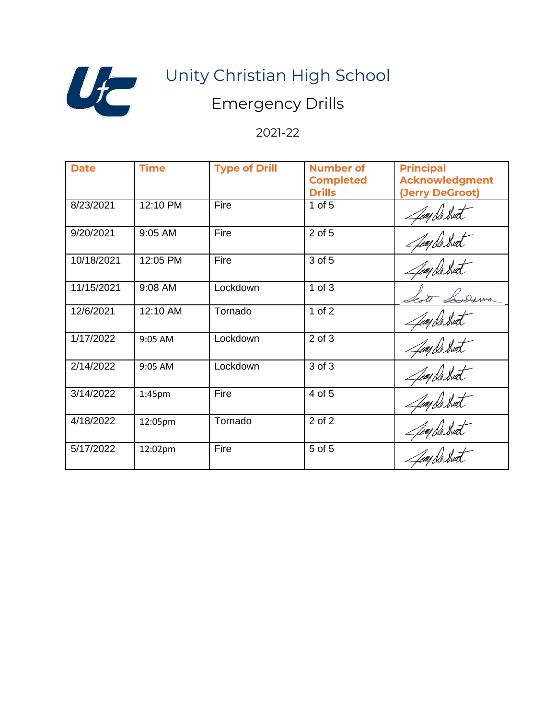

# Unity Christian High School

### Emergency Drills

### 2021-22

| <b>Date</b> | <b>Time</b> | <b>Type of Drill</b> | <b>Number of</b><br><b>Completed</b><br><b>Drills</b> | <b>Principal</b><br><b>Acknowledgment</b><br>(Jerry DeGroot) |
|-------------|-------------|----------------------|-------------------------------------------------------|--------------------------------------------------------------|
| 8/23/2021   | 12:10 PM    | Fire                 | $1$ of $5$                                            | Jun De Swet                                                  |
| 9/20/2021   | 9:05 AM     | Fire                 | 2 of 5                                                | Jean De Hurt                                                 |
| 10/18/2021  | 12:05 PM    | Fire                 | 3 of 5                                                | Jump De Hurt                                                 |
| 11/15/2021  | 9:08 AM     | Lockdown             | $1$ of $3$                                            | cott Somesmo                                                 |
| 12/6/2021   | 12:10 AM    | Tornado              | 1 of $2$                                              | Jum De Hvet                                                  |
| 1/17/2022   | 9:05 AM     | Lockdown             | $2$ of $3$                                            | Jump De Swat                                                 |
| 2/14/2022   | 9:05 AM     | Lockdown             | 3 of 3                                                | Jump De Swet                                                 |
| 3/14/2022   | 1:45pm      | Fire                 | 4 of 5                                                | Jump De Hurt                                                 |
| 4/18/2022   | 12:05pm     | Tornado              | 2 of 2                                                | Jump De Swat                                                 |
| 5/17/2022   | 12:02pm     | Fire                 | 5 of 5                                                | Juny De Swat                                                 |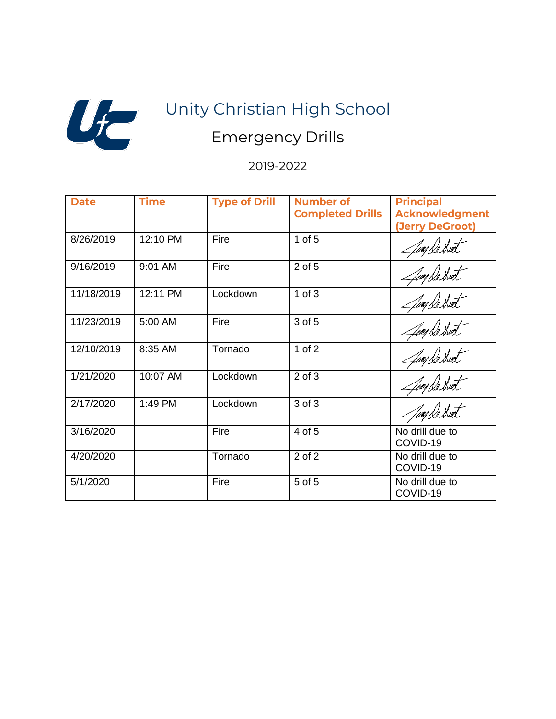

# Unity Christian High School Emergency Drills

#### 2019-2022

| <b>Date</b> | <b>Time</b> | <b>Type of Drill</b> | <b>Number of</b><br><b>Completed Drills</b> | <b>Principal</b><br><b>Acknowledgment</b><br>(Jerry DeGroot) |
|-------------|-------------|----------------------|---------------------------------------------|--------------------------------------------------------------|
| 8/26/2019   | 12:10 PM    | Fire                 | $1$ of $5$                                  | Jump De Direct                                               |
| 9/16/2019   | 9:01 AM     | Fire                 | 2 of 5                                      | Jumple Hurt                                                  |
| 11/18/2019  | 12:11 PM    | Lockdown             | $1$ of $3$                                  | Jump De Hurt                                                 |
| 11/23/2019  | 5:00 AM     | Fire                 | 3 of 5                                      | Jean De Hurt                                                 |
| 12/10/2019  | 8:35 AM     | Tornado              | $1$ of $2$                                  | Juay De Swet                                                 |
| 1/21/2020   | 10:07 AM    | Lockdown             | $2$ of $3$                                  | Jump De Swet                                                 |
| 2/17/2020   | 1:49 PM     | Lockdown             | 3 of 3                                      | Jun De Swat                                                  |
| 3/16/2020   |             | Fire                 | 4 of 5                                      | No drill due to<br>COVID-19                                  |
| 4/20/2020   |             | Tornado              | $2$ of $2$                                  | No drill due to<br>COVID-19                                  |
| 5/1/2020    |             | Fire                 | 5 of 5                                      | No drill due to<br>COVID-19                                  |